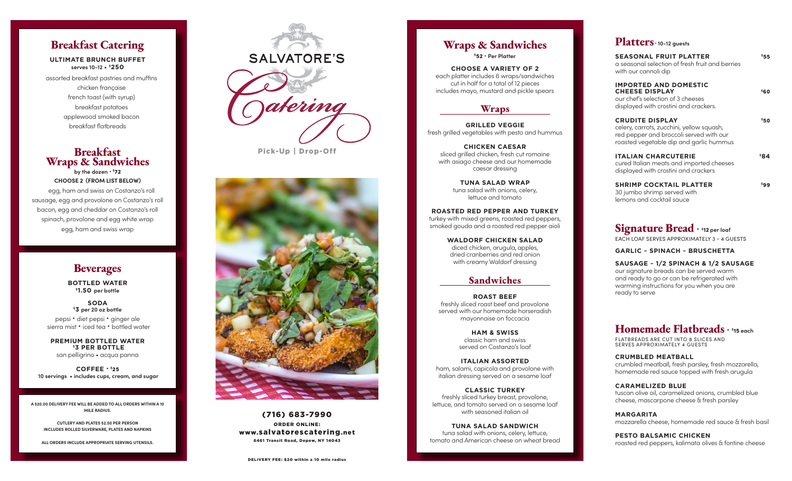### **Breakfast Catering**

**ULTIMATE BRUNCH BUFFET serves 10-12**  • \$**250**

assorted breakfast pastries and muffins chicken française french toast (with syrup) breakfast potatoes applewood smoked bacon breakfast flatbreads

### **Breakfast Wraps & Sandwiches by the dozen** • \$72

**CHOOSE 2 (FROM LIST BELOW)**  egg, ham and swiss on Costanzo's roll sausage, egg and provolone on Costanzo's roll bacon, egg and cheddar on Costanzo's roll spinach, provolone and egg white wrap egg, ham and swiss wrap

# **Beverages**

**BOTTLED WATER** \$**1.50 per bottle**

**SODA** \$ **3 per 20 oz bottle**

pepsi **•** diet pepsi **•** ginger ale sierra mist **•** iced tea **•** bottled water

**PREMIUM BOTTLED WATER** \$**3 PER BOTTLE** san pelligrino • acqua panna

**COFFEE •** \$25  **10 servings • includes cups, cream, and sugar**

**A \$20.00 DELIVERY FEE WILL BE ADDED TO ALL ORDERS WITHIN A 10 MILE RADIUS.**

**CUTLERY AND PLATES \$2.50 PER PERSON INCLUDES ROLLED SILVERWARE, PLATES AND NAPKINS**

**ALL ORDERS INCLUDE APPROPRIATE SERVING UTENSILS.**



Pick-Up | Drop-Off



(716) 683-7990 ORDER ONLINE: www.salvatorescatering.net 6461 Transit Road, Depew, NY 14043

# **Wraps & Sandwiches**

\$52 • **Per Platter**

**CHOOSE A VARIETY OF 2** each platter includes 6 wraps/sandwiches cut in half for a total of 12 pieces includes mayo, mustard and pickle spears

### **Wraps**

**GRILLED VEGGIE** fresh grilled vegetables with pesto and hummus

**CHICKEN CAESAR** sliced grilled chicken, fresh cut romaine with asiago cheese and our homemade caesar dressing

> **TUNA SALAD WRAP** tuna salad with onions, celery, lettuce and tomato

**ROASTED RED PEPPER AND TURKEY** turkey with mixed greens, roasted red peppers, smoked gouda and a roasted red pepper aioli

> **WALDORF CHICKEN SALAD** diced chicken, arugula, apples, dried cranberries and red onion with creamy Waldorf dressing

### **Sandwiches**

**ROAST BEEF** freshly sliced roast beef and provolone served with our homemade horseradish mayonnaise on foccacia

> **HAM & SWISS** classic ham and swiss served on Costanzo's loaf

**ITALIAN ASSORTED** ham, salami, capicola and provolone with italian dressing served on a sesame loaf

**CLASSIC TURKEY**  freshly sliced turkey breast, provolone, lettuce, and tomato served on a sesame loaf with seasoned italian oil

**TUNA SALAD SANDWICH** tuna salad with onions, celery, lettuce, tomato and American cheese on wheat bread

### **Platters • 10-12 guests**

| <b>SEASONAL FRUIT PLATTER</b><br>a seasonal selection of fresh fruit and berries<br>with our cannoli dip                                                  | 555  |
|-----------------------------------------------------------------------------------------------------------------------------------------------------------|------|
| <b>IMPORTED AND DOMESTIC</b><br><b>CHEESE DISPLAY</b><br>our chef's selection of 3 cheeses<br>displayed with crostini and crackers.                       | \$60 |
| <b>CRUDITE DISPLAY</b><br>celery, carrots, zucchini, yellow squash,<br>red pepper and broccoli served with our<br>roasted vegetable dip and garlic hummus | \$50 |
| <b>ITALIAN CHARCUTERIE</b><br>cured Italian meats and imported cheeses<br>displayed with crostini and crackers                                            | \$84 |
| <b>SHRIMP COCKTAIL PLATTER</b>                                                                                                                            | sgg  |

30 jumbo shrimp served with lemons and cocktail sauce

**Signature Bread •** \$12 **per loaf** EACH LOAF SERVES APPROXIMATELY 3 - 4 GUESTS

**GARLIC ~ SPINACH ~ BRUSCHETTA** 

**SAUSAGE ~ 1/2 SPINACH & 1/2 SAUSAGE** our signature breads can be served warm and ready to go or can be refrigerated with warming instructions for you when you are ready to serve

## **Homemade Flatbreads •** \$15 **each**

FLATBREADS ARE CUT INTO 8 SLICES AND SERVES APPROXIMATELY 4 GUESTS

**CRUMBLED MEATBALL** crumbled meatball, fresh parsley, fresh mozzarella, homemade red sauce topped with fresh arugula

#### **CARAMELIZED BLUE** tuscan olive oil, caramelized onions, crumbled blue

cheese, mascarpone cheese & fresh parsley

**MARGARITA** mozzarella cheese, homemade red sauce & fresh basil

**PESTO BALSAMIC CHICKEN** roasted red peppers, kalimata olives & fontine cheese